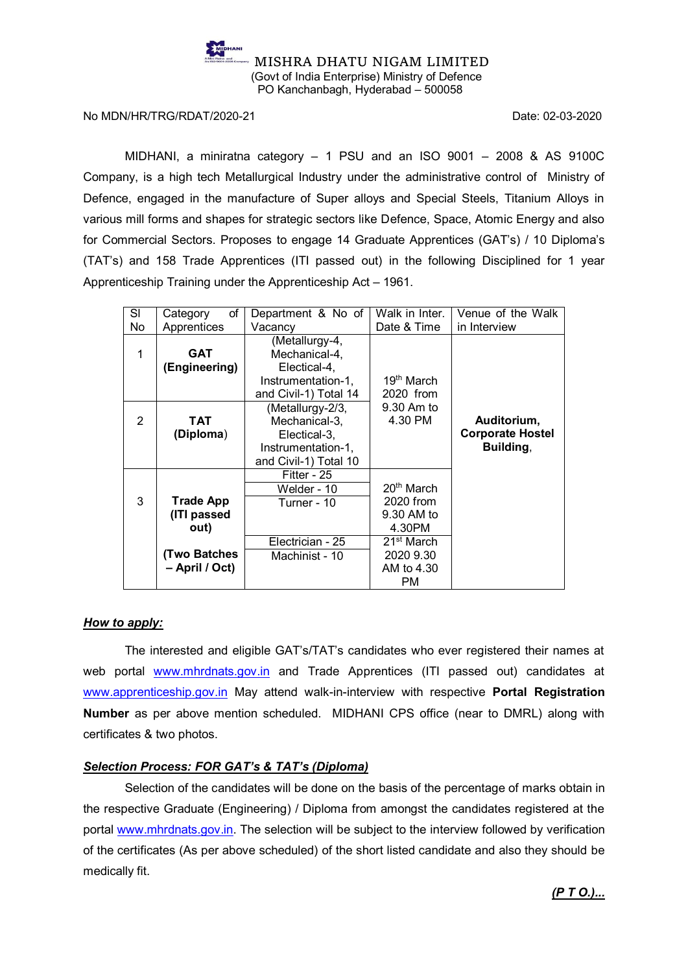

No MDN/HR/TRG/RDAT/2020-21 Date: 02-03-2020

MIDHANI, a miniratna category – 1 PSU and an ISO 9001 – 2008 & AS 9100C Company, is a high tech Metallurgical Industry under the administrative control of Ministry of Defence, engaged in the manufacture of Super alloys and Special Steels, Titanium Alloys in various mill forms and shapes for strategic sectors like Defence, Space, Atomic Energy and also for Commercial Sectors. Proposes to engage 14 Graduate Apprentices (GAT's) / 10 Diploma's (TAT's) and 158 Trade Apprentices (ITI passed out) in the following Disciplined for 1 year Apprenticeship Training under the Apprenticeship Act – 1961.

| SI             | of<br>Category     | Department & No of    | Walk in Inter.         | Venue of the Walk       |
|----------------|--------------------|-----------------------|------------------------|-------------------------|
| No             | Apprentices        | Vacancy               | Date & Time            | in Interview            |
|                |                    | (Metallurgy-4,        |                        |                         |
| 1              | <b>GAT</b>         | Mechanical-4,         |                        |                         |
|                | (Engineering)      | Electical-4,          |                        |                         |
|                |                    | Instrumentation-1,    | 19 <sup>th</sup> March |                         |
|                |                    | and Civil-1) Total 14 | 2020 from              |                         |
|                |                    | (Metallurgy-2/3,      | 9.30 Am to             |                         |
| $\overline{2}$ | TAT                | Mechanical-3,         | 4.30 PM                | Auditorium,             |
|                | (Diploma)          | Electical-3,          |                        | <b>Corporate Hostel</b> |
|                |                    | Instrumentation-1,    |                        | Building,               |
|                |                    | and Civil-1) Total 10 |                        |                         |
|                |                    | Fitter - 25           |                        |                         |
|                |                    | Welder - 10           | $20th$ March           |                         |
| 3              | <b>Trade App</b>   | Turner - 10           | 2020 from              |                         |
|                | (ITI passed        |                       | 9.30 AM to             |                         |
|                | out)               |                       | 4.30PM                 |                         |
|                |                    | Electrician - 25      | 21 <sup>st</sup> March |                         |
|                | <b>Two Batches</b> | Machinist - 10        | 2020 9.30              |                         |
|                | - April / Oct)     |                       | AM to 4.30             |                         |
|                |                    |                       | PM.                    |                         |

## *How to apply:*

The interested and eligible GAT's/TAT's candidates who ever registered their names at web portal [www.mhrdnats.gov.in](http://www.mhrdnats.gov.in/) and Trade Apprentices (ITI passed out) candidates at [www.apprenticeship.gov.in](http://www.apprenticeship.gov.in/) May attend walk-in-interview with respective **Portal Registration Number** as per above mention scheduled. MIDHANI CPS office (near to DMRL) along with certificates & two photos.

## *Selection Process: FOR GAT's & TAT's (Diploma)*

Selection of the candidates will be done on the basis of the percentage of marks obtain in the respective Graduate (Engineering) / Diploma from amongst the candidates registered at the portal [www.mhrdnats.gov.in.](http://www.mhrdnats.gov.in/) The selection will be subject to the interview followed by verification of the certificates (As per above scheduled) of the short listed candidate and also they should be medically fit.